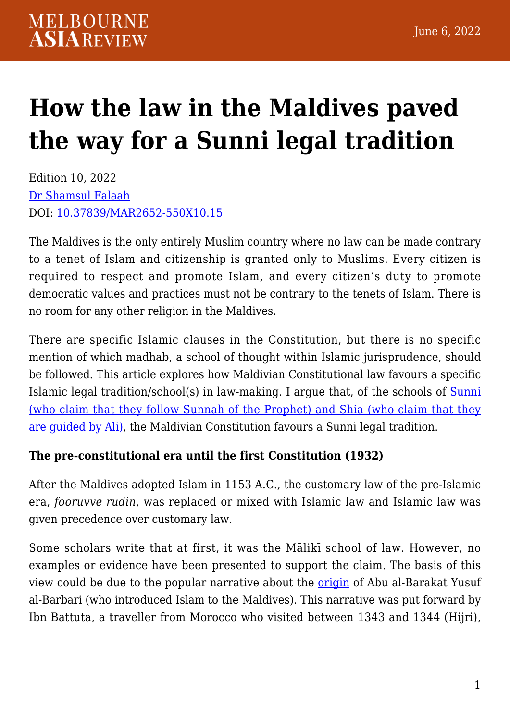# **[How the law in the Maldives paved](https://melbourneasiareview.edu.au/how-the-law-in-the-maldives-paved-the-way-for-a-sunni-legal-tradition/) [the way for a Sunni legal tradition](https://melbourneasiareview.edu.au/how-the-law-in-the-maldives-paved-the-way-for-a-sunni-legal-tradition/)**

Edition 10, 2022 [Dr Shamsul Falaah](https://www.linkedin.com/in/dr-shamsul-falaah-018b029a/) DOI: 10.37839/MAR2652-550X10.15

The Maldives is the only entirely Muslim country where no law can be made contrary to a tenet of Islam and citizenship is granted only to Muslims. Every citizen is required to respect and promote Islam, and every citizen's duty to promote democratic values and practices must not be contrary to the tenets of Islam. There is no room for any other religion in the Maldives.

There are specific Islamic clauses in the Constitution, but there is no specific mention of which madhab, a school of thought within Islamic jurisprudence, should be followed. This article explores how Maldivian Constitutional law favours a specific Islamic legal tradition/school(s) in law-making. I argue that, of the schools of **Sunni** [\(who claim that they follow Sunnah of the Prophet\) and Shia \(who claim that they](https://www.oxfordreference.com/view/10.1093/acref/9780195125580.001.0001/acref-9780195125580) [are guided by Ali\),](https://www.oxfordreference.com/view/10.1093/acref/9780195125580.001.0001/acref-9780195125580) the Maldivian Constitution favours a Sunni legal tradition.

#### **The pre-constitutional era until the first Constitution (1932)**

After the Maldives adopted Islam in 1153 A.C., the customary law of the pre-Islamic era, *fooruvve rudin*, was replaced or mixed with Islamic law and Islamic law was given precedence over customary law.

Some scholars write that at first, it was the Mālikī school of law. However, no examples or evidence have been presented to support the claim. The basis of this view could be due to the popular narrative about the [origin](https://www.persee.fr/doc/arch_0044-8613_1983_num_26_1_1844) of Abu al-Barakat Yusuf al-Barbari (who introduced Islam to the Maldives). This narrative was put forward by Ibn Battuta, a traveller from Morocco who visited between 1343 and 1344 (Hijri),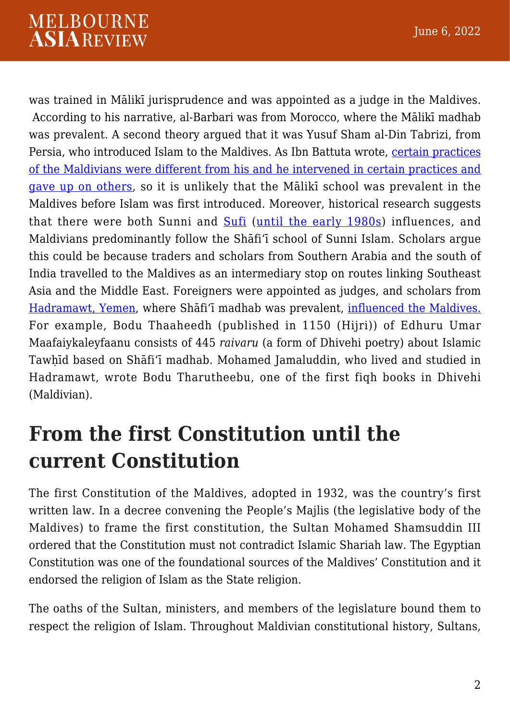was trained in Mālikī jurisprudence and was appointed as a judge in the Maldives. According to his narrative, al-Barbari was from Morocco, where the Mālikī madhab was prevalent. A second theory argued that it was Yusuf Sham al-Din Tabrizi, from Persia, who introduced Islam to the Maldives. As Ibn Battuta wrote, [certain practices](https://books.google.co.nz/books/about/Islam_in_South_Asia_in_Practice.html?id=pR0LzVCpfw8C&redir_esc=y) [of the Maldivians were different from his and he intervened in certain practices and](https://books.google.co.nz/books/about/Islam_in_South_Asia_in_Practice.html?id=pR0LzVCpfw8C&redir_esc=y) [gave up on others,](https://books.google.co.nz/books/about/Islam_in_South_Asia_in_Practice.html?id=pR0LzVCpfw8C&redir_esc=y) so it is unlikely that the Mālikī school was prevalent in the Maldives before Islam was first introduced. Moreover, historical research suggests that there were both Sunni and [Sufi](https://edinburghuniversitypress.com/pub/media/resources/Chapter_3.pdf) ([until the early 1980s\)](https://www.academia.edu/12694851/The_Maldives_were_such_an_unknown_place_back_then_Nils_Finn_Munch_Petersen_a_true_pioneer) influences, and Maldivians predominantly follow the Shāfiʻī school of Sunni Islam. Scholars argue this could be because traders and scholars from Southern Arabia and the south of India travelled to the Maldives as an intermediary stop on routes linking Southeast Asia and the Middle East. Foreigners were appointed as judges, and scholars from [Hadramawt, Yemen](https://www.persee.fr/doc/arch_0044-8613_1983_num_26_1_1844), where Shāfiʻī madhab was prevalent, [influenced the Maldives.](https://www.persee.fr/doc/arch_0044-8613_1983_num_26_1_1844) For example, Bodu Thaaheedh (published in 1150 (Hijri)) of Edhuru Umar Maafaiykaleyfaanu consists of 445 *raivaru* (a form of Dhivehi poetry) about Islamic Tawḥīd based on Shāfiʻī madhab. Mohamed Jamaluddin, who lived and studied in Hadramawt, wrote Bodu Tharutheebu, one of the first fiqh books in Dhivehi (Maldivian).

### **From the first Constitution until the current Constitution**

The first Constitution of the Maldives, adopted in 1932, was the country's first written law. In a decree convening the People's Majlis (the legislative body of the Maldives) to frame the first constitution, the Sultan Mohamed Shamsuddin III ordered that the Constitution must not contradict Islamic Shariah law. The Egyptian Constitution was one of the foundational sources of the Maldives' Constitution and it endorsed the religion of Islam as the State religion.

The oaths of the Sultan, ministers, and members of the legislature bound them to respect the religion of Islam. Throughout Maldivian constitutional history, Sultans,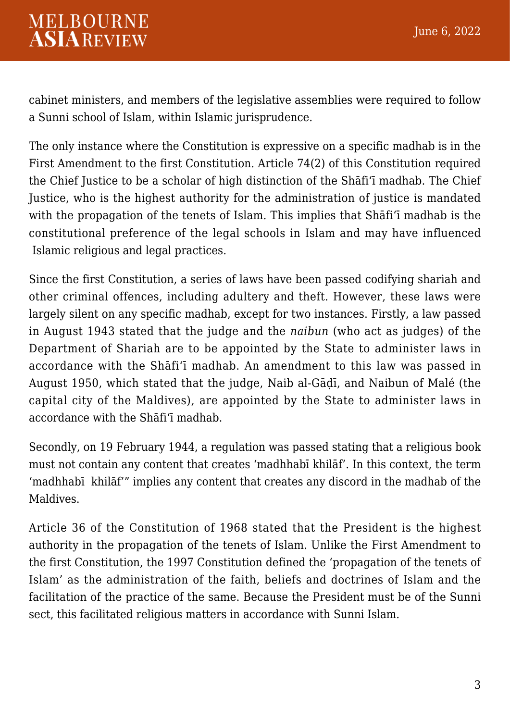cabinet ministers, and members of the legislative assemblies were required to follow a Sunni school of Islam, within Islamic jurisprudence.

The only instance where the Constitution is expressive on a specific madhab is in the First Amendment to the first Constitution. Article 74(2) of this Constitution required the Chief Justice to be a scholar of high distinction of the Shāfi'ī madhab. The Chief Justice, who is the highest authority for the administration of justice is mandated with the propagation of the tenets of Islam. This implies that Shāfi'ī madhab is the constitutional preference of the legal schools in Islam and may have influenced Islamic religious and legal practices.

Since the first Constitution, a series of laws have been passed codifying shariah and other criminal offences, including adultery and theft. However, these laws were largely silent on any specific madhab, except for two instances. Firstly, a law passed in August 1943 stated that the judge and the *naibun* (who act as judges) of the Department of Shariah are to be appointed by the State to administer laws in accordance with the Shāfi'ī madhab. An amendment to this law was passed in August 1950, which stated that the judge, Naib al-Gāḍī, and Naibun of Malé (the capital city of the Maldives), are appointed by the State to administer laws in accordance with the Shāfi'ī madhab.

Secondly, on 19 February 1944, a regulation was passed stating that a religious book must not contain any content that creates 'madhhabī khilāf'. In this context, the term 'madhhabī khilāf'" implies any content that creates any discord in the madhab of the Maldives.

Article 36 of the Constitution of 1968 stated that the President is the highest authority in the propagation of the tenets of Islam. Unlike the First Amendment to the first Constitution, the 1997 Constitution defined the 'propagation of the tenets of Islam' as the administration of the faith, beliefs and doctrines of Islam and the facilitation of the practice of the same. Because the President must be of the Sunni sect, this facilitated religious matters in accordance with Sunni Islam.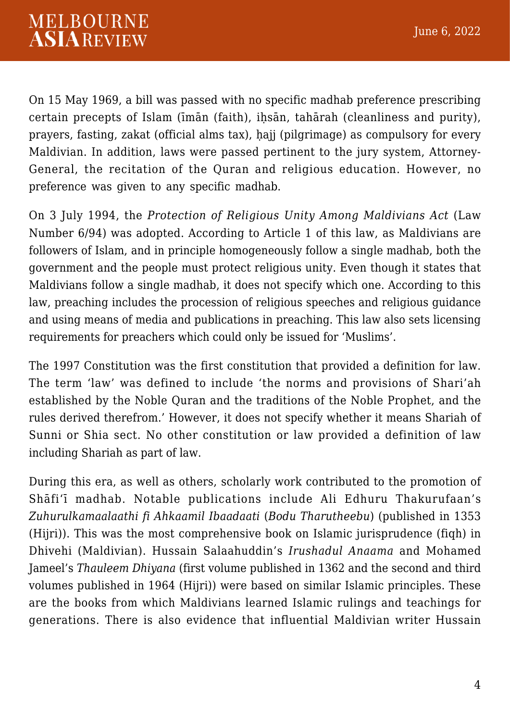On 15 May 1969, a bill was passed with no specific madhab preference prescribing certain precepts of Islam (īmān (faith), iḥsān, tahārah (cleanliness and purity), prayers, fasting, zakat (official alms tax), ḥajj (pilgrimage) as compulsory for every Maldivian. In addition, laws were passed pertinent to the jury system, Attorney-General, the recitation of the Quran and religious education. However, no preference was given to any specific madhab.

On 3 July 1994, the *Protection of Religious Unity Among Maldivians Act* (Law Number 6/94) was adopted. According to Article 1 of this law, as Maldivians are followers of Islam, and in principle homogeneously follow a single madhab, both the government and the people must protect religious unity. Even though it states that Maldivians follow a single madhab, it does not specify which one. According to this law, preaching includes the procession of religious speeches and religious guidance and using means of media and publications in preaching. This law also sets licensing requirements for preachers which could only be issued for 'Muslims'.

The 1997 Constitution was the first constitution that provided a definition for law. The term 'law' was defined to include 'the norms and provisions of Shari'ah established by the Noble Quran and the traditions of the Noble Prophet, and the rules derived therefrom.' However, it does not specify whether it means Shariah of Sunni or Shia sect. No other constitution or law provided a definition of law including Shariah as part of law.

During this era, as well as others, scholarly work contributed to the promotion of Shāfi'ī madhab. Notable publications include Ali Edhuru Thakurufaan's *Zuhurulkamaalaathi fi Ahkaamil Ibaadaati* (*Bodu Tharutheebu*) (published in 1353 (Hijri)). This was the most comprehensive book on Islamic jurisprudence (fiqh) in Dhivehi (Maldivian). Hussain Salaahuddin's *Irushadul Anaama* and Mohamed Jameel's *Thauleem Dhiyana* (first volume published in 1362 and the second and third volumes published in 1964 (Hijri)) were based on similar Islamic principles. These are the books from which Maldivians learned Islamic rulings and teachings for generations. There is also evidence that influential Maldivian writer Hussain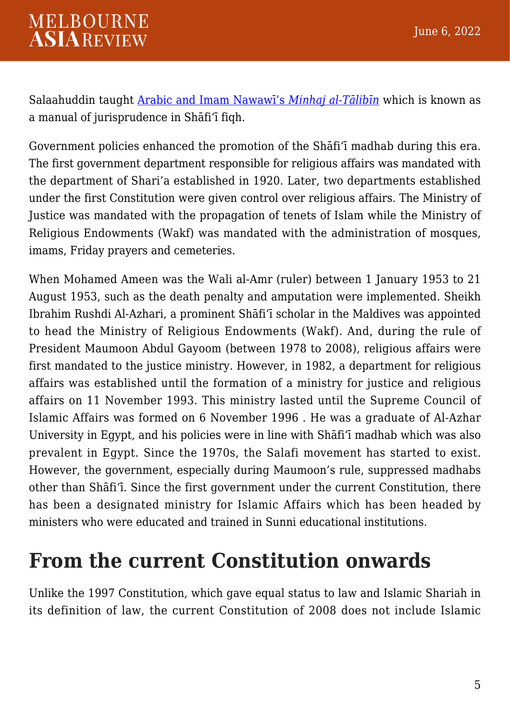Salaahuddin taught [Arabic and Imam Nawawī's](http://saruna.mnu.edu.mv/jspui/bitstream/123456789/3574/3/Ahmed%20Kaamil%20Didige%20h%27ayaai) *[Minhaj al-Tālibīn](http://saruna.mnu.edu.mv/jspui/bitstream/123456789/3574/3/Ahmed%20Kaamil%20Didige%20h%27ayaai)* which is known as a manual of jurisprudence in Shāfiʻī fiqh.

Government policies enhanced the promotion of the Shāfi'ī madhab during this era. The first government department responsible for religious affairs was mandated with the department of Shari'a established in 1920. Later, two departments established under the first Constitution were given control over religious affairs. The Ministry of Justice was mandated with the propagation of tenets of Islam while the Ministry of Religious Endowments (Wakf) was mandated with the administration of mosques, imams, Friday prayers and cemeteries.

When Mohamed Ameen was the Wali al-Amr (ruler) between 1 January 1953 to 21 August 1953, such as the death penalty and amputation were implemented. Sheikh Ibrahim Rushdi Al-Azhari, a prominent Shāfiʻī scholar in the Maldives was appointed to head the Ministry of Religious Endowments (Wakf). And, during the rule of President Maumoon Abdul Gayoom (between 1978 to 2008), religious affairs were first mandated to the justice ministry. However, in 1982, a department for religious affairs was established until the formation of a ministry for justice and religious affairs on 11 November 1993. This ministry lasted until the Supreme Council of Islamic Affairs was formed on 6 November 1996 . He was a graduate of Al-Azhar University in Egypt, and his policies were in line with Shāfiʻī madhab which was also prevalent in Egypt. Since the 1970s, the Salafi movement has started to exist. However, the government, especially during Maumoon's rule, suppressed madhabs other than Shāfiʻī. Since the first government under the current Constitution, there has been a designated ministry for Islamic Affairs which has been headed by ministers who were educated and trained in Sunni educational institutions.

#### **From the current Constitution onwards**

Unlike the 1997 Constitution, which gave equal status to law and Islamic Shariah in its definition of law, the current Constitution of 2008 does not include Islamic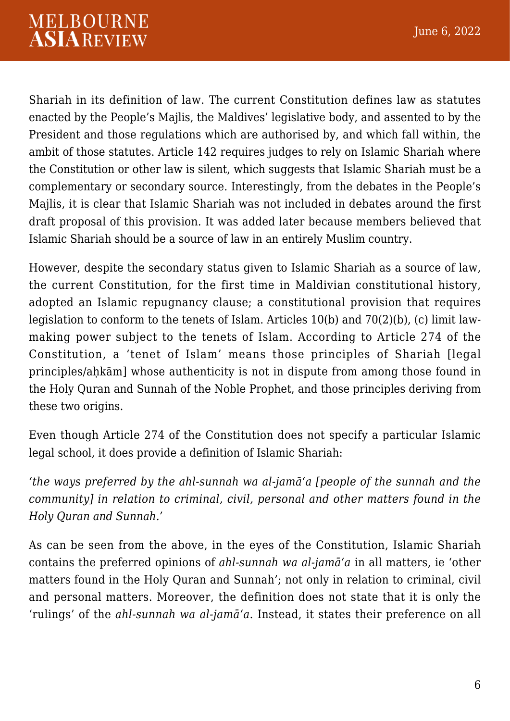Shariah in its definition of law. The current Constitution defines law as statutes enacted by the People's Majlis, the Maldives' legislative body, and assented to by the President and those regulations which are authorised by, and which fall within, the ambit of those statutes. Article 142 requires judges to rely on Islamic Shariah where the Constitution or other law is silent, which suggests that Islamic Shariah must be a complementary or secondary source. Interestingly, from the debates in the People's Majlis, it is clear that Islamic Shariah was not included in debates around the first draft proposal of this provision. It was added later because members believed that Islamic Shariah should be a source of law in an entirely Muslim country.

However, despite the secondary status given to Islamic Shariah as a source of law, the current Constitution, for the first time in Maldivian constitutional history, adopted an Islamic repugnancy clause; a constitutional provision that requires legislation to conform to the tenets of Islam. Articles 10(b) and 70(2)(b), (c) limit lawmaking power subject to the tenets of Islam. According to Article 274 of the Constitution, a 'tenet of Islam' means those principles of Shariah [legal principles/ahkām] whose authenticity is not in dispute from among those found in the Holy Quran and Sunnah of the Noble Prophet, and those principles deriving from these two origins.

Even though Article 274 of the Constitution does not specify a particular Islamic legal school, it does provide a definition of Islamic Shariah:

*'the ways preferred by the ahl-sunnah wa al-jamāʻa [people of the sunnah and the community] in relation to criminal, civil, personal and other matters found in the Holy Quran and Sunnah.'* 

As can be seen from the above, in the eyes of the Constitution, Islamic Shariah contains the preferred opinions of *ahl-sunnah wa al-jamāʻa* in all matters, ie 'other matters found in the Holy Quran and Sunnah'; not only in relation to criminal, civil and personal matters. Moreover, the definition does not state that it is only the 'rulings' of the *ahl-sunnah wa al-jamāʻa*. Instead, it states their preference on all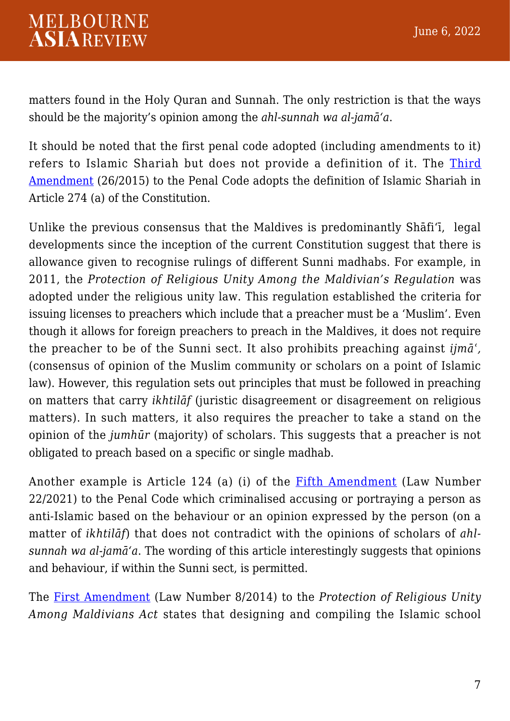matters found in the Holy Quran and Sunnah. The only restriction is that the ways should be the majority's opinion among the *ahl-sunnah wa al-jamāʻa*.

It should be noted that the first penal code adopted (including amendments to it) refers to Islamic Shariah but does not provide a definition of it. The [Third](https://www.mvlaw.gov.mv/pdf/ganoon/chapterVIII/26-2015.pdf) [Amendment](https://www.mvlaw.gov.mv/pdf/ganoon/chapterVIII/26-2015.pdf) (26/2015) to the Penal Code adopts the definition of Islamic Shariah in Article 274 (a) of the Constitution.

Unlike the previous consensus that the Maldives is predominantly Shāfi'ī, legal developments since the inception of the current Constitution suggest that there is allowance given to recognise rulings of different Sunni madhabs. For example, in 2011, the *Protection of Religious Unity Among the Maldivian's Regulation* was adopted under the religious unity law. This regulation established the criteria for issuing licenses to preachers which include that a preacher must be a 'Muslim'. Even though it allows for foreign preachers to preach in the Maldives, it does not require the preacher to be of the Sunni sect. It also prohibits preaching against *ijmāʿ,* (consensus of opinion of the Muslim community or scholars on a point of Islamic law). However, this regulation sets out principles that must be followed in preaching on matters that carry *ikhtilāf* (juristic disagreement or disagreement on religious matters). In such matters, it also requires the preacher to take a stand on the opinion of the *jumhūr* (majority) of scholars. This suggests that a preacher is not obligated to preach based on a specific or single madhab.

Another example is Article 124 (a) (i) of the [Fifth Amendment](https://www.mvlaw.gov.mv/pdf/ganoon/chapterVIII/22-2021.pdf) (Law Number 22/2021) to the Penal Code which criminalised accusing or portraying a person as anti-Islamic based on the behaviour or an opinion expressed by the person (on a matter of *ikhtilāf*) that does not contradict with the opinions of scholars of *ahlsunnah wa al-jamāʻa*. The wording of this article interestingly suggests that opinions and behaviour, if within the Sunni sect, is permitted.

The [First Amendment](https://www.mvlaw.gov.mv/pdf/ganoon/chapterII/8-2014.pdf) (Law Number 8/2014) to the *Protection of Religious Unity Among Maldivians Act* states that designing and compiling the Islamic school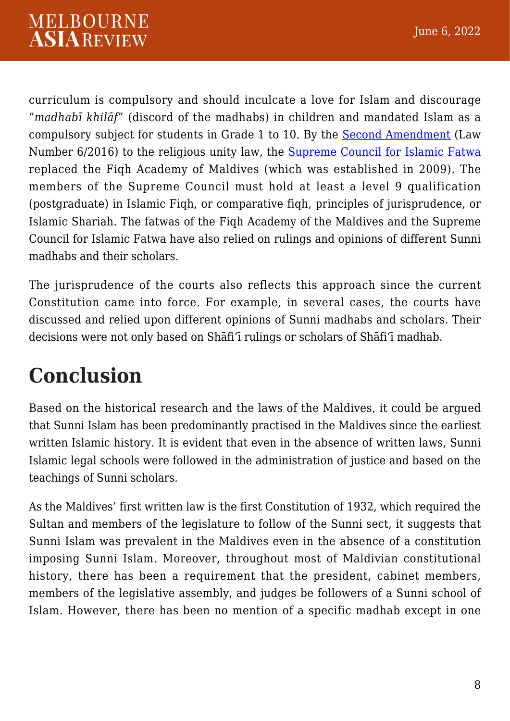curriculum is compulsory and should inculcate a love for Islam and discourage "*madhabī khilāf*" (discord of the madhabs) in children and mandated Islam as a compulsory subject for students in Grade 1 to 10. By the [Second Amendment](https://www.mvlaw.gov.mv/pdf/ganoon/chapterII/6-2016.pdf) (Law Number 6/2016) to the religious unity law, the [Supreme Council for Islamic Fatwa](https://fatwamajlis.gov.mv/) replaced the Fiqh Academy of Maldives (which was established in 2009). The members of the Supreme Council must hold at least a level 9 qualification (postgraduate) in Islamic Fiqh, or comparative fiqh, principles of jurisprudence, or Islamic Shariah. The fatwas of the Fiqh Academy of the Maldives and the Supreme Council for Islamic Fatwa have also relied on rulings and opinions of different Sunni madhabs and their scholars.

The jurisprudence of the courts also reflects this approach since the current Constitution came into force. For example, in several cases, the courts have discussed and relied upon different opinions of Sunni madhabs and scholars. Their decisions were not only based on Shāfi'ī rulings or scholars of Shāfi'ī madhab.

## **Conclusion**

Based on the historical research and the laws of the Maldives, it could be argued that Sunni Islam has been predominantly practised in the Maldives since the earliest written Islamic history. It is evident that even in the absence of written laws, Sunni Islamic legal schools were followed in the administration of justice and based on the teachings of Sunni scholars.

As the Maldives' first written law is the first Constitution of 1932, which required the Sultan and members of the legislature to follow of the Sunni sect, it suggests that Sunni Islam was prevalent in the Maldives even in the absence of a constitution imposing Sunni Islam. Moreover, throughout most of Maldivian constitutional history, there has been a requirement that the president, cabinet members, members of the legislative assembly, and judges be followers of a Sunni school of Islam. However, there has been no mention of a specific madhab except in one